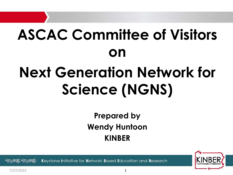# **ASCAC Committee of Visitors on**

## **Next Generation Network for Science (NGNS)**

**Prepared by Wendy Huntoon KINBER**

Keystone Initiative for Network Based Education and Research



7/27/2015 1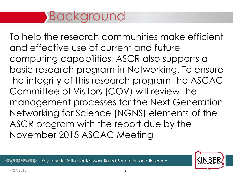### **Background**

To help the research communities make efficient and effective use of current and future computing capabilities, ASCR also supports a basic research program in Networking. To ensure the integrity of this research program the ASCAC Committee of Visitors (COV) will review the management processes for the Next Generation Networking for Science (NGNS) elements of the ASCR program with the report due by the November 2015 ASCAC Meeting

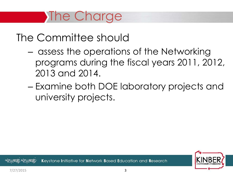### The Charge

#### The Committee should

- assess the operations of the Networking programs during the fiscal years 2011, 2012, 2013 and 2014.
- Examine both DOE laboratory projects and university projects.



Keystone Initiative for Network Based Education and Research

7/27/2015 3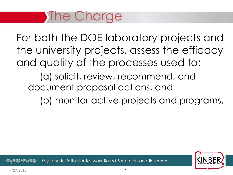### The Charge

For both the DOE laboratory projects and the university projects, assess the efficacy and quality of the processes used to: (a) solicit, review, recommend, and document proposal actions, and (b) monitor active projects and programs.



Keystone Initiative for Network Based Education and Research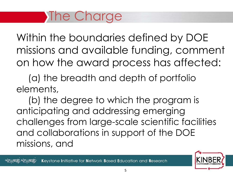Within the boundaries defined by DOE missions and available funding, comment on how the award process has affected:

(a) the breadth and depth of portfolio elements,

(b) the degree to which the program is anticipating and addressing emerging challenges from large-scale scientific facilities and collaborations in support of the DOE missions, and

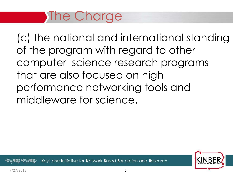### **The Charge**

(c) the national and international standing of the program with regard to other computer science research programs that are also focused on high performance networking tools and middleware for science.



Keystone Initiative for Network Based Education and Research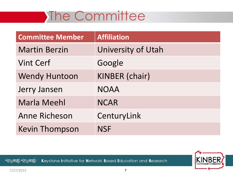### The Committee

| <b>Committee Member</b> | <b>Affiliation</b>    |
|-------------------------|-----------------------|
| <b>Martin Berzin</b>    | University of Utah    |
| <b>Vint Cerf</b>        | Google                |
| <b>Wendy Huntoon</b>    | <b>KINBER</b> (chair) |
| Jerry Jansen            | <b>NOAA</b>           |
| <b>Marla Meehl</b>      | <b>NCAR</b>           |
| <b>Anne Richeson</b>    | CenturyLink           |
| <b>Kevin Thompson</b>   | <b>NSF</b>            |

Keystone Initiative for Network Based Education and Research <u>guals officials (</u>